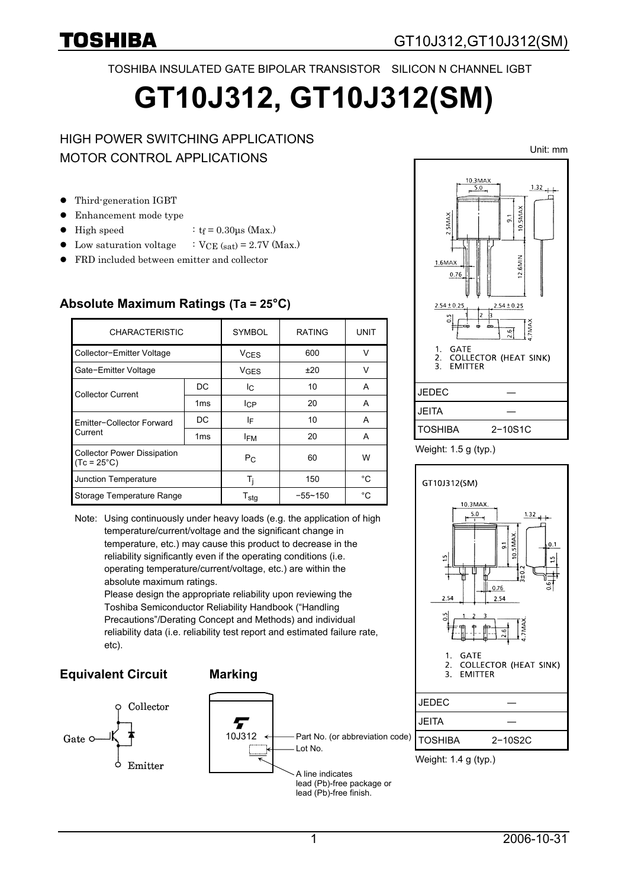TOSHIBA INSULATED GATE BIPOLAR TRANSISTOR SILICON N CHANNEL IGBT

# **GT10J312, GT10J312(SM)**

#### HIGH POWER SWITCHING APPLICATIONS MOTOR CONTROL APPLICATIONS

- $\bullet$  Third-generation IGBT
- Enhancement mode type
- High speed  $:$  tf = 0.30μs (Max.)
- Low saturation voltage  $\therefore$  VCE (sat) = 2.7V (Max.)
- FRD included between emitter and collector

| <b>CHARACTERISTIC</b>                                      |                 | <b>SYMBOL</b>          | <b>RATING</b> | UNIT   |  |
|------------------------------------------------------------|-----------------|------------------------|---------------|--------|--|
| Collector-Emitter Voltage                                  |                 | <b>V<sub>CES</sub></b> | 600           | $\vee$ |  |
| Gate-Emitter Voltage                                       |                 | <b>V<sub>GES</sub></b> | ±20           | v      |  |
| <b>Collector Current</b>                                   | DC              | Ic.                    | 10            | A      |  |
|                                                            | 1 <sub>ms</sub> | <b>I</b> CP            | 20            | A      |  |
| Emitter-Collector Forward<br>Current                       | DC              | IF                     | 10            | A      |  |
|                                                            | 1 <sub>ms</sub> | <b>IFM</b>             | 20            | A      |  |
| <b>Collector Power Dissipation</b><br>$(Tc = 25^{\circ}C)$ |                 | $P_{C}$                | 60            | W      |  |
| Junction Temperature                                       |                 | Ti                     | 150           | °C     |  |
| Storage Temperature Range                                  |                 | $T_{\text{stg}}$       | $-55 - 150$   | °C     |  |

#### **Absolute Maximum Ratings (Ta = 25°C)**

Note: Using continuously under heavy loads (e.g. the application of high temperature/current/voltage and the significant change in temperature, etc.) may cause this product to decrease in the reliability significantly even if the operating conditions (i.e. operating temperature/current/voltage, etc.) are within the absolute maximum ratings.

Please design the appropriate reliability upon reviewing the Toshiba Semiconductor Reliability Handbook ("Handling Precautions"/Derating Concept and Methods) and individual reliability data (i.e. reliability test report and estimated failure rate, etc).

#### **Equivalent Circuit Marking**















Unit: mm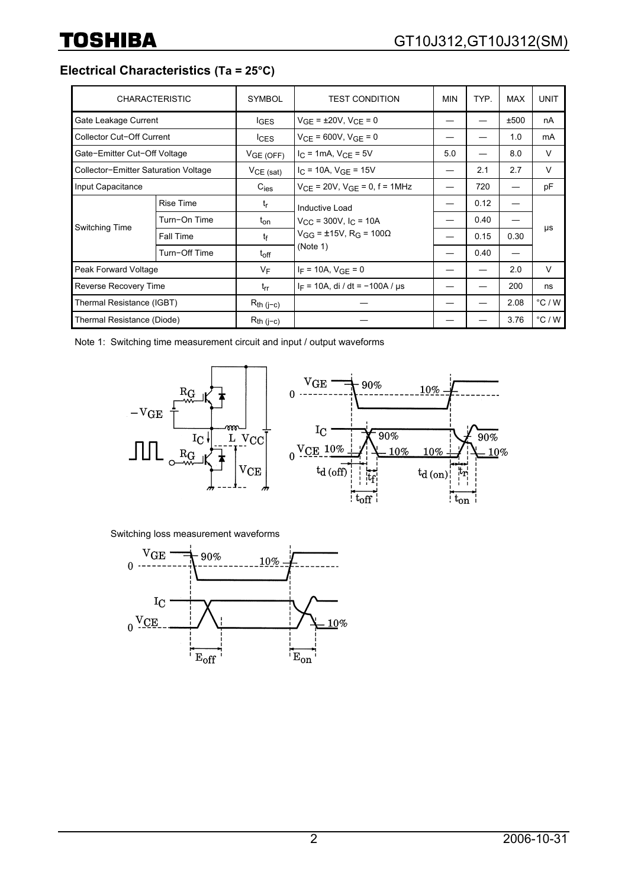**Electrical Characteristics (Ta = 25°C)**

| <b>CHARACTERISTIC</b>                |                  | <b>SYMBOL</b>    | <b>TEST CONDITION</b>                                                                                                | <b>MIN</b> | TYP. | <b>MAX</b> | <b>UNIT</b>     |
|--------------------------------------|------------------|------------------|----------------------------------------------------------------------------------------------------------------------|------------|------|------------|-----------------|
| Gate Leakage Current                 |                  | $I_{\text{GES}}$ | $V_{GE} = \pm 20V$ , $V_{CE} = 0$                                                                                    |            |      | ±500       | nA              |
| Collector Cut-Off Current            |                  | lc <sub>ES</sub> | $V_{CF}$ = 600V, $V_{GF}$ = 0                                                                                        |            |      | 1.0        | mA              |
| Gate-Emitter Cut-Off Voltage         |                  | VGE(OFF)         | $I_C = 1mA, V_{CE} = 5V$                                                                                             | 5.0        |      | 8.0        | $\vee$          |
| Collector-Emitter Saturation Voltage |                  | $VCE$ (sat)      | $I_C = 10A$ , $V_{GE} = 15V$                                                                                         |            | 2.1  | 2.7        | $\vee$          |
| Input Capacitance                    |                  | $C_{\text{ies}}$ | $V_{CE}$ = 20V, $V_{GE}$ = 0, f = 1MHz                                                                               |            | 720  |            | pF              |
| Switching Time                       | <b>Rise Time</b> | $t_{\rm r}$      | Inductive Load<br>$V_{\text{CC}}$ = 300V, I <sub>C</sub> = 10A<br>$V_{GG}$ = ±15V, R <sub>G</sub> = 100Ω<br>(Note 1) |            | 0.12 |            | μs              |
|                                      | Turn-On Time     | $t_{\text{on}}$  |                                                                                                                      |            | 0.40 |            |                 |
|                                      | Fall Time        | tf               |                                                                                                                      |            | 0.15 | 0.30       |                 |
|                                      | Turn-Off Time    | $t_{off}$        |                                                                                                                      |            | 0.40 |            |                 |
| Peak Forward Voltage                 |                  | $V_F$            | $I_F = 10A$ , $V_{GE} = 0$                                                                                           |            |      | 2.0        | $\vee$          |
| Reverse Recovery Time                |                  | $t_{rr}$         | $I_F = 10A$ , di / dt = -100A / $\mu s$                                                                              |            |      | 200        | ns              |
| Thermal Resistance (IGBT)            |                  | $R_{th}$ (j-c)   |                                                                                                                      |            |      | 2.08       | $\degree$ C / W |
| Thermal Resistance (Diode)           |                  | $R_{th}$ (j-c)   |                                                                                                                      |            |      | 3.76       | $\degree$ C / W |

Note 1: Switching time measurement circuit and input / output waveforms



Switching loss measurement waveforms

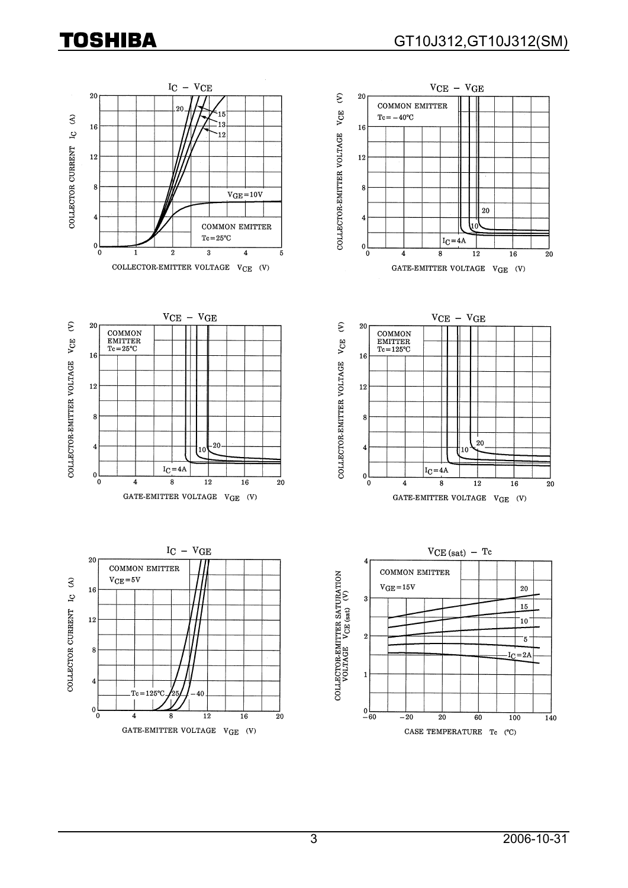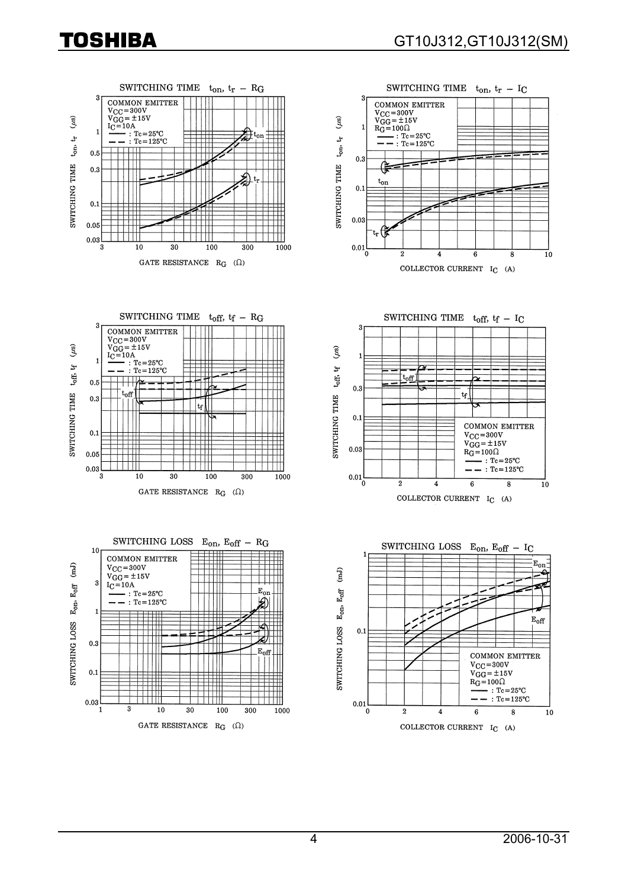



SWITCHING TIME  $t_{off}$ ,  $tf - RG$ 3 **COMMON EMITTER**  $V_{\text{CC}} = 300V$  $VGG = \pm 15V$  $(\mu s)$  $=10A$ IC.  $: \text{Tc}=25^{\circ}\text{C}$ <br> $: \text{Tc}=125^{\circ}\text{C}$  $t_0$ ff,  $t_f$  $0.5$ SWITCHING TIME 'nĤ  $0.3$  $\lfloor$ tr $\rfloor$  $0.1$  $0.05$  $0.03$  $\overline{\overline{3}}$  $\overline{10}$  $30$ 100  $300$ 1000 GATE RESISTANCE  $\ R_G$   $(\Omega)$ 





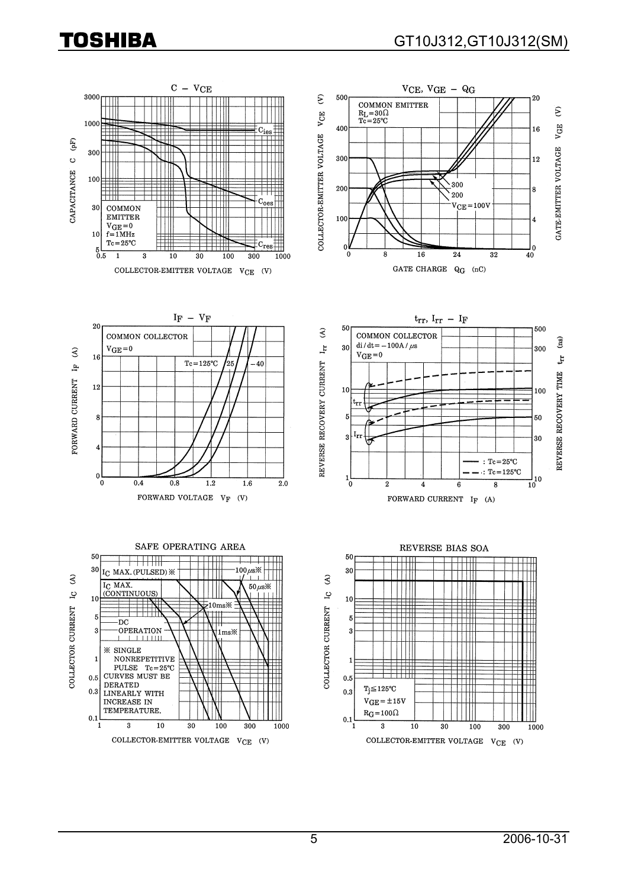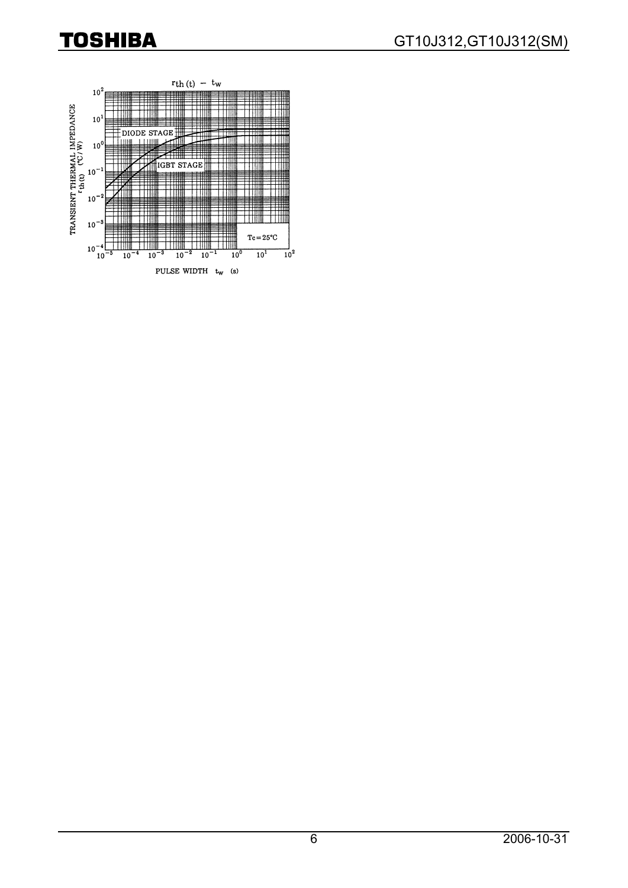